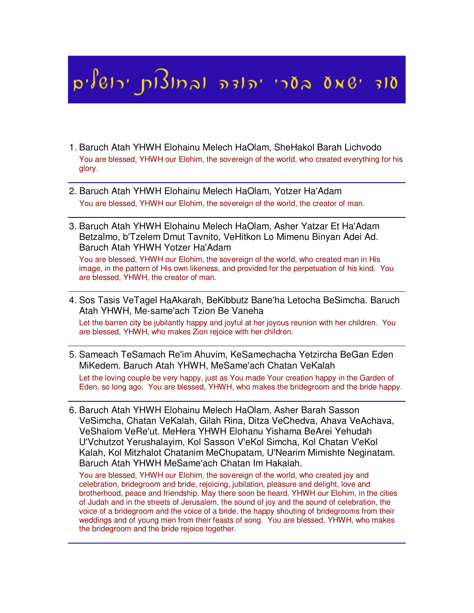## וד ישמט בטרי יהודה ובחוצות ירושלים

- 1. Baruch Atah YHWH Elohainu Melech HaOlam, SheHakol Barah Lichvodo You are blessed, YHWH our Elohim, the sovereign of the world, who created everything for his glory.
- 2. Baruch Atah YHWH Elohainu Melech HaOlam, Yotzer Ha'Adam You are blessed, YHWH our Elohim, the sovereign of the world, the creator of man.
- 3. Baruch Atah YHWH Elohainu Melech HaOlam, Asher Yatzar Et Ha'Adam Betzalmo, b'Tzelem Dmut Tavnito, VeHitkon Lo Mimenu Binyan Adei Ad. Baruch Atah YHWH Yotzer Ha'Adam

You are blessed, YHWH our Elohim, the sovereign of the world, who created man in His image, in the pattern of His own likeness, and provided for the perpetuation of his kind. You are blessed, YHWH, the creator of man.

4. Sos Tasis VeTagel HaAkarah, BeKibbutz Bane'ha Letocha BeSimcha. Baruch Atah YHWH, Me-same'ach Tzion Be Vaneha

Let the barren city be jubilantly happy and joyful at her joyous reunion with her children. You are blessed, YHWH, who makes Zion rejoice with her children.

- 5. Sameach TeSamach Re'im Ahuvim, KeSamechacha Yetzircha BeGan Eden MiKedem. Baruch Atah YHWH, MeSame'ach Chatan VeKalah Let the loving couple be very happy, just as You made Your creation happy in the Garden of Eden, so long ago. You are blessed, YHWH, who makes the bridegroom and the bride happy.
- 6. Baruch Atah YHWH Elohainu Melech HaOlam, Asher Barah Sasson VeSimcha, Chatan VeKalah, Gilah Rina, Ditza VeChedva, Ahava VeAchava, VeShalom VeRe'ut. MeHera YHWH Elohanu Yishama BeArei Yehudah U'Vchutzot Yerushalayim, Kol Sasson V'eKol Simcha, Kol Chatan V'eKol Kalah, Kol Mitzhalot Chatanim MeChupatam, U'Nearim Mimishte Neginatam. Baruch Atah YHWH MeSame'ach Chatan Im Hakalah.

You are blessed, YHWH our Elohim, the sovereign of the world, who created joy and celebration, bridegroom and bride, rejoicing, jubilation, pleasure and delight, love and brotherhood, peace and friendship. May there soon be heard, YHWH our Elohim, in the cities of Judah and in the streets of Jerusalem, the sound of joy and the sound of celebration, the voice of a bridegroom and the voice of a bride, the happy shouting of bridegrooms from their weddings and of young men from their feasts of song. You are blessed, YHWH, who makes the bridegroom and the bride rejoice together.